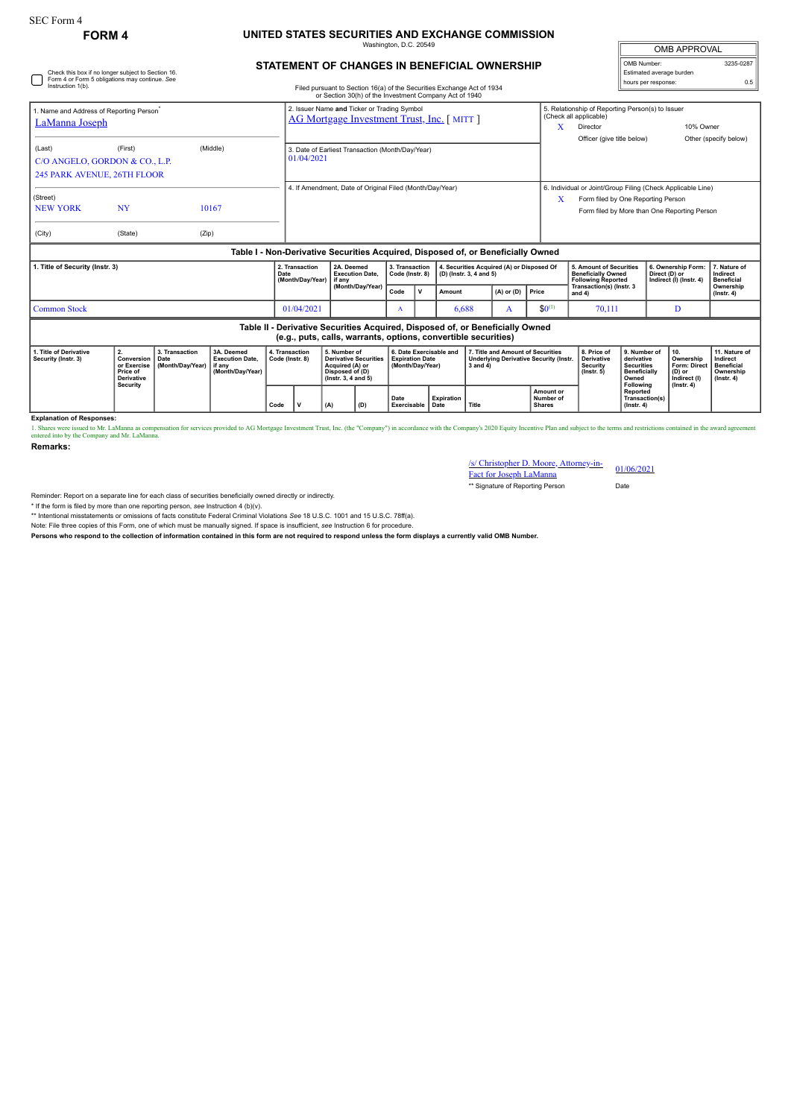## **FORM 4 UNITED STATES SECURITIES AND EXCHANGE COMMISSION** maton, D.C. 20

**STATEMENT OF CHANGES IN BENEFICIAL OWNERSHIP**

| <b>OMB APPROVAL</b>      |           |  |  |  |  |  |  |
|--------------------------|-----------|--|--|--|--|--|--|
| OMB Number:              | 3235-0287 |  |  |  |  |  |  |
| Estimated average burden |           |  |  |  |  |  |  |
| hours per response:      | 0.5       |  |  |  |  |  |  |

| Check this box if no longer subject to Section 16.<br>Form 4 or Form 5 obligations may continue. See<br>Instruction 1(b).<br>Filed pursuant to Section 16(a) of the Securities Exchange Act of 1934<br>or Section 30(h) of the Investment Company Act of 1940 |                                                                                     |                                                                                                                  |                                                                                  |      |                                                                                                                 |                          |                                                                       |                   |                                   |                                                                                                  |                                                                      |                                                                               |                                                                                                                                                   | Estimated average burden<br>hours per response:                                                                      |                                                                                       | 0.5                                                                             |                                               |
|---------------------------------------------------------------------------------------------------------------------------------------------------------------------------------------------------------------------------------------------------------------|-------------------------------------------------------------------------------------|------------------------------------------------------------------------------------------------------------------|----------------------------------------------------------------------------------|------|-----------------------------------------------------------------------------------------------------------------|--------------------------|-----------------------------------------------------------------------|-------------------|-----------------------------------|--------------------------------------------------------------------------------------------------|----------------------------------------------------------------------|-------------------------------------------------------------------------------|---------------------------------------------------------------------------------------------------------------------------------------------------|----------------------------------------------------------------------------------------------------------------------|---------------------------------------------------------------------------------------|---------------------------------------------------------------------------------|-----------------------------------------------|
| 1. Name and Address of Reporting Person<br><b>LaManna Joseph</b>                                                                                                                                                                                              |                                                                                     |                                                                                                                  |                                                                                  |      | 2. Issuer Name and Ticker or Trading Symbol<br><b>AG Mortgage Investment Trust, Inc.</b> [MITT]                 |                          |                                                                       |                   |                                   |                                                                                                  |                                                                      |                                                                               | X                                                                                                                                                 | 5. Relationship of Reporting Person(s) to Issuer<br>(Check all applicable)<br>Director<br>Officer (give title below) |                                                                                       | 10% Owner                                                                       | Other (specify below)                         |
| (Last)<br>C/O ANGELO, GORDON & CO., L.P.<br>245 PARK AVENUE, 26TH FLOOR                                                                                                                                                                                       |                                                                                     | 3. Date of Earliest Transaction (Month/Day/Year)<br>01/04/2021                                                   |                                                                                  |      |                                                                                                                 |                          |                                                                       |                   |                                   |                                                                                                  |                                                                      |                                                                               |                                                                                                                                                   |                                                                                                                      |                                                                                       |                                                                                 |                                               |
| (Street)<br><b>NEW YORK</b>                                                                                                                                                                                                                                   | <b>NY</b>                                                                           |                                                                                                                  | 10167                                                                            |      | 4. If Amendment, Date of Original Filed (Month/Day/Year)                                                        |                          |                                                                       |                   |                                   |                                                                                                  |                                                                      | X                                                                             | 6. Individual or Joint/Group Filing (Check Applicable Line)<br>Form filed by One Reporting Person<br>Form filed by More than One Reporting Person |                                                                                                                      |                                                                                       |                                                                                 |                                               |
| (City)                                                                                                                                                                                                                                                        | (State)                                                                             | (Zip)                                                                                                            | Table I - Non-Derivative Securities Acquired, Disposed of, or Beneficially Owned |      |                                                                                                                 |                          |                                                                       |                   |                                   |                                                                                                  |                                                                      |                                                                               |                                                                                                                                                   |                                                                                                                      |                                                                                       |                                                                                 |                                               |
| 1. Title of Security (Instr. 3)                                                                                                                                                                                                                               |                                                                                     |                                                                                                                  |                                                                                  | Date | 2. Transaction<br>(Month/Day/Year)                                                                              | if anv                   | 2A. Deemed<br><b>Execution Date.</b>                                  |                   | 3. Transaction<br>Code (Instr. 8) |                                                                                                  | 4. Securities Acquired (A) or Disposed Of<br>(D) (Instr. 3, 4 and 5) |                                                                               |                                                                                                                                                   | 5. Amount of Securities<br><b>Beneficially Owned</b><br><b>Following Reported</b>                                    |                                                                                       | 6. Ownership Form:<br>Direct (D) or<br>Indirect (I) (Instr. 4)                  | 7. Nature of<br>Indirect<br><b>Beneficial</b> |
|                                                                                                                                                                                                                                                               |                                                                                     |                                                                                                                  |                                                                                  |      |                                                                                                                 |                          | (Month/Day/Year)                                                      |                   | $\mathbf v$                       | Amount                                                                                           |                                                                      | $(A)$ or $(D)$                                                                | Price                                                                                                                                             | Transaction(s) (Instr. 3<br>and $4$ )                                                                                |                                                                                       |                                                                                 | Ownership<br>$($ lnstr. 4 $)$                 |
| <b>Common Stock</b>                                                                                                                                                                                                                                           |                                                                                     |                                                                                                                  |                                                                                  |      | 01/04/2021                                                                                                      |                          | A                                                                     |                   | 6.688<br>A                        |                                                                                                  | $$0^{(1)}$$                                                          | 70,111                                                                        |                                                                                                                                                   | D                                                                                                                    |                                                                                       |                                                                                 |                                               |
|                                                                                                                                                                                                                                                               |                                                                                     |                                                                                                                  |                                                                                  |      |                                                                                                                 |                          | (e.g., puts, calls, warrants, options, convertible securities)        |                   |                                   |                                                                                                  |                                                                      | Table II - Derivative Securities Acquired, Disposed of, or Beneficially Owned |                                                                                                                                                   |                                                                                                                      |                                                                                       |                                                                                 |                                               |
| 1. Title of Derivative<br>Security (Instr. 3)                                                                                                                                                                                                                 | 2.<br>Conversion<br>or Exercise<br>Price of<br><b>Derivative</b><br><b>Security</b> | 3. Transaction<br>3A. Deemed<br><b>Execution Date.</b><br>Date<br>(Month/Day/Year)<br>if anv<br>(Month/Day/Year) | 4. Transaction<br>Code (Instr. 8)                                                |      | 5. Number of<br><b>Derivative Securities</b><br>Acquired (A) or<br>Disposed of (D)<br>$($ lnstr. 3, 4 and 5 $)$ |                          | 6. Date Exercisable and<br><b>Expiration Date</b><br>(Month/Day/Year) |                   |                                   | 7. Title and Amount of Securities<br><b>Underlying Derivative Security (Instr.</b><br>3 and $4)$ |                                                                      |                                                                               | 8. Price of<br><b>Derivative</b><br>Security<br>$($ lnstr. 5 $)$                                                                                  | 9. Number of<br>derivative<br><b>Securities</b><br><b>Beneficially</b><br>Owned<br>Following                         | 10.<br>Ownership<br><b>Form: Direct</b><br>(D) or<br>Indirect (I)<br>$($ lnstr. 4 $)$ | 11. Nature of<br>Indirect<br><b>Beneficial</b><br>Ownership<br>$($ lnstr. 4 $)$ |                                               |
|                                                                                                                                                                                                                                                               |                                                                                     |                                                                                                                  |                                                                                  | Code | $\mathbf v$                                                                                                     | Date<br>Exercisable Date |                                                                       | <b>Expiration</b> | <b>Title</b>                      | Amount or<br>Number of<br><b>Shares</b>                                                          |                                                                      |                                                                               | Reported<br>Transaction(s)<br>$($ Instr. 4 $)$                                                                                                    |                                                                                                                      |                                                                                       |                                                                                 |                                               |

**Explanation of Responses:**

1. Shares were issued to Mr. LaManna as compensation for services provided to AG Mortgage Investment Trust, Inc. (the "Company") in accordance with the Company's 2020 Equity Incentive Plan and subject to the terms and rest

**Remarks:**

## /s/ Christopher D. Moore, Attorney-in-Fact for Joseph LaManna 01/06/2021

\*\* Signature of Reporting Person Date

Reminder: Report on a separate line for each class of securities beneficially owned directly or indirectly.

\* If the form is filed by more than one reporting person, *see* Instruction 4 (b)(v).

\*\* Intentional misstatements or omissions of facts constitute Federal Criminal Violations *See* 18 U.S.C. 1001 and 15 U.S.C. 78ff(a).

Note: File three copies of this Form, one of which must be manually signed. If space is insufficient, *see* Instruction 6 for procedure.

**Persons who respond to the collection of information contained in this form are not required to respond unless the form displays a currently valid OMB Number.**